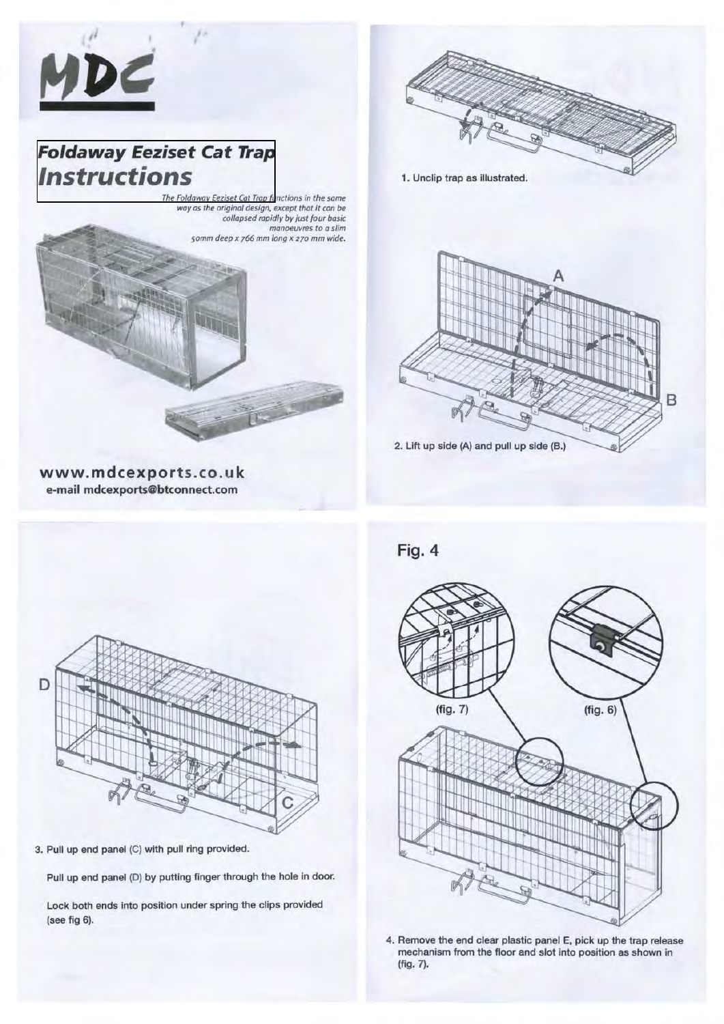

# **[Foldaway Eeziset Cat Trap](http://www.catspyjamas.org)  Instructions**

,



1. Unclip trap as illustrated.

**Fig. 4** 





**www.mdcexport s.co.uk e-mail mdcexports@btconnect.com** 



3. Pull up end panel (C) with pull ring provided.

Pull up end panel (D) by putting finger through the hole in door.

Lock both ends into position under spring the clips provided (see fig 6).



4. Remove the end clear plastic panel E, pick up the trap release mechanism from the floor and slot into position as shown in (fig. 7).